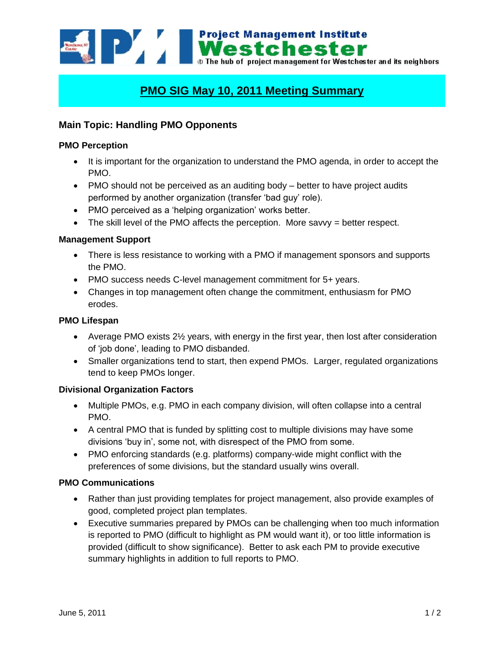**Example 1998 Mestchester**<br>**Mestchester**<br>**Mestchester** and its neighbors<br>**Mestchester** and its neighbors

# **PMO SIG May 10, 2011 Meeting Summary**

# **Main Topic: Handling PMO Opponents**

# **PMO Perception**

- It is important for the organization to understand the PMO agenda, in order to accept the PMO.
- PMO should not be perceived as an auditing body better to have project audits performed by another organization (transfer 'bad guy' role).
- PMO perceived as a 'helping organization' works better.
- $\bullet$  The skill level of the PMO affects the perception. More savvy = better respect.

# **Management Support**

- There is less resistance to working with a PMO if management sponsors and supports the PMO.
- PMO success needs C-level management commitment for 5+ years.
- Changes in top management often change the commitment, enthusiasm for PMO erodes.

# **PMO Lifespan**

- Average PMO exists 2<sup>1/2</sup> years, with energy in the first year, then lost after consideration of 'job done', leading to PMO disbanded.
- Smaller organizations tend to start, then expend PMOs. Larger, regulated organizations tend to keep PMOs longer.

#### **Divisional Organization Factors**

- Multiple PMOs, e.g. PMO in each company division, will often collapse into a central PMO.
- A central PMO that is funded by splitting cost to multiple divisions may have some divisions 'buy in', some not, with disrespect of the PMO from some.
- PMO enforcing standards (e.g. platforms) company-wide might conflict with the preferences of some divisions, but the standard usually wins overall.

#### **PMO Communications**

- Rather than just providing templates for project management, also provide examples of good, completed project plan templates.
- Executive summaries prepared by PMOs can be challenging when too much information is reported to PMO (difficult to highlight as PM would want it), or too little information is provided (difficult to show significance). Better to ask each PM to provide executive summary highlights in addition to full reports to PMO.